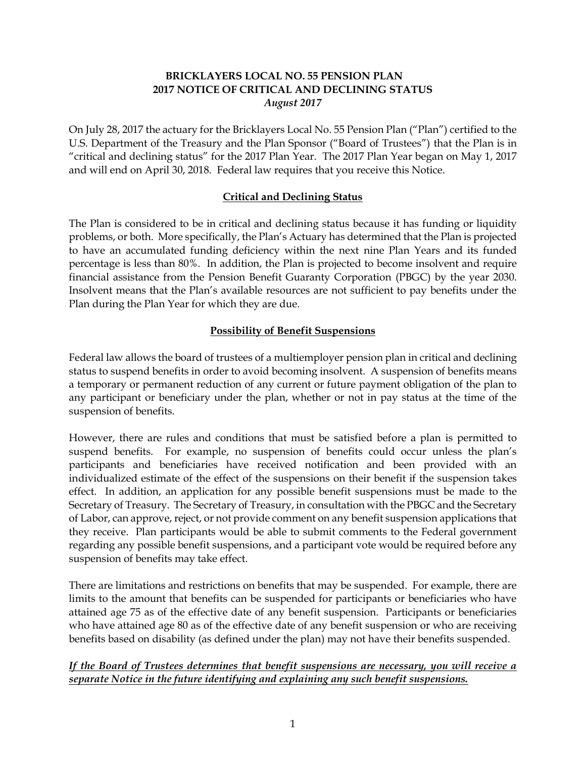# **BRICKLAYERS LOCAL NO. 55 PENSION PLAN 2017 NOTICE OF CRITICAL AND DECLINING STATUS** *August 2017*

On July 28, 2017 the actuary for the Bricklayers Local No. 55 Pension Plan ("Plan") certified to the U.S. Department of the Treasury and the Plan Sponsor ("Board of Trustees") that the Plan is in "critical and declining status" for the 2017 Plan Year. The 2017 Plan Year began on May 1, 2017 and will end on April 30, 2018. Federal law requires that you receive this Notice.

#### **Critical and Declining Status**

The Plan is considered to be in critical and declining status because it has funding or liquidity problems, or both. More specifically, the Plan's Actuary has determined that the Plan is projected to have an accumulated funding deficiency within the next nine Plan Years and its funded percentage is less than 80%. In addition, the Plan is projected to become insolvent and require financial assistance from the Pension Benefit Guaranty Corporation (PBGC) by the year 2030. Insolvent means that the Plan's available resources are not sufficient to pay benefits under the Plan during the Plan Year for which they are due.

## **Possibility of Benefit Suspensions**

Federal law allows the board of trustees of a multiemployer pension plan in critical and declining status to suspend benefits in order to avoid becoming insolvent. A suspension of benefits means a temporary or permanent reduction of any current or future payment obligation of the plan to any participant or beneficiary under the plan, whether or not in pay status at the time of the suspension of benefits.

However, there are rules and conditions that must be satisfied before a plan is permitted to suspend benefits. For example, no suspension of benefits could occur unless the plan's participants and beneficiaries have received notification and been provided with an individualized estimate of the effect of the suspensions on their benefit if the suspension takes effect. In addition, an application for any possible benefit suspensions must be made to the Secretary of Treasury. The Secretary of Treasury, in consultation with the PBGC and the Secretary of Labor, can approve, reject, or not provide comment on any benefit suspension applications that they receive. Plan participants would be able to submit comments to the Federal government regarding any possible benefit suspensions, and a participant vote would be required before any suspension of benefits may take effect.

There are limitations and restrictions on benefits that may be suspended. For example, there are limits to the amount that benefits can be suspended for participants or beneficiaries who have attained age 75 as of the effective date of any benefit suspension. Participants or beneficiaries who have attained age 80 as of the effective date of any benefit suspension or who are receiving benefits based on disability (as defined under the plan) may not have their benefits suspended.

## *If the Board of Trustees determines that benefit suspensions are necessary, you will receive a separate Notice in the future identifying and explaining any such benefit suspensions.*